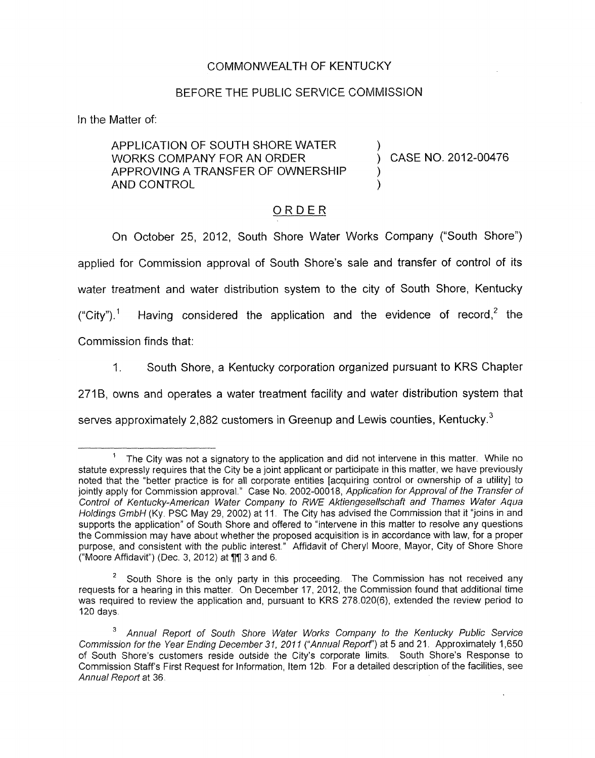## COMMONWEALTH OF KENTUCKY

## BEFORE THE PUBLIC SERVICE COMMISSION

**In** the Matter of:

APPLICATION OF SOUTH SHORE WATER ) WORKS COMPANY FOR AN ORDER (CASE NO. 2012-00476) APPROVING A TRANSFER OF OWNERSHIP 1 **AND CONTROL** 

## ORDER

On October 25, 2012, South Shore Water Works Company ("South Shore") applied for Commission approval of South Shore's sale and transfer of control of its water treatment and water distribution system to the city of South Shore, Kentucky ("City").<sup>1</sup> Having considered the application and the evidence of record,<sup>2</sup> the Commission finds that:

1. South Shore, a Kentucky corporation organized pursuant to KRS Chapter

271B, owns and operates a water treatment facility and water distribution system that

serves approximately 2,882 customers in Greenup and Lewis counties, Kentucky. $3$ 

The City was not a signatory to the application and did not intervene in this matter. While no statute expressly requires that the City be a joint applicant or participate in this matter, we have previously noted that the "better practice is for all corporate entities [acquiring control or ownership of a utility] to jointly apply for Commission approval." Case No. 2002-00018, Application for Approval of the Transfer of *Control of Kentucky-American Water Company fo RWE Aktiengesellschaft and Thames Water Aqua Holdings GmbH* (Ky. PSC May 29, 2002) at 11. The City has advised the Commission that it "joins in and supports the application" of South Shore and offered to "intervene in this matter to resolve any questions the Commission may have about whether the proposed acquisition is in accordance with law, for a proper purpose, and consistent with the public interest." Affidavit of Cheryl Moore, Mayor, City of Shore Shore ("Moore Affidavit") (Dec. 3, 2012) at **71** 3 and 6 1

<sup>&</sup>lt;sup>2</sup> South Shore is the only party in this proceeding. The Commission has not received any requests for a hearing in this matter. On December 17, 2012, the Commission found that additional time was required to review the application and, pursuant to KRS 278.020(6), extended the review period to 120 days

*Annual Report of South Shore Water Works Company to the Kentucky Public Service Commission for the Year Ending December 3 1, 201 I ("Annual Repof)* at *5* and 21. Approximately 1,650 of South Shore's customers reside outside the City's corporate limits. South Shore's Response to Commission Staff's First Request for Information, Item 12b. For a detailed description of the facilities, see *Annual Report at 36*  **3**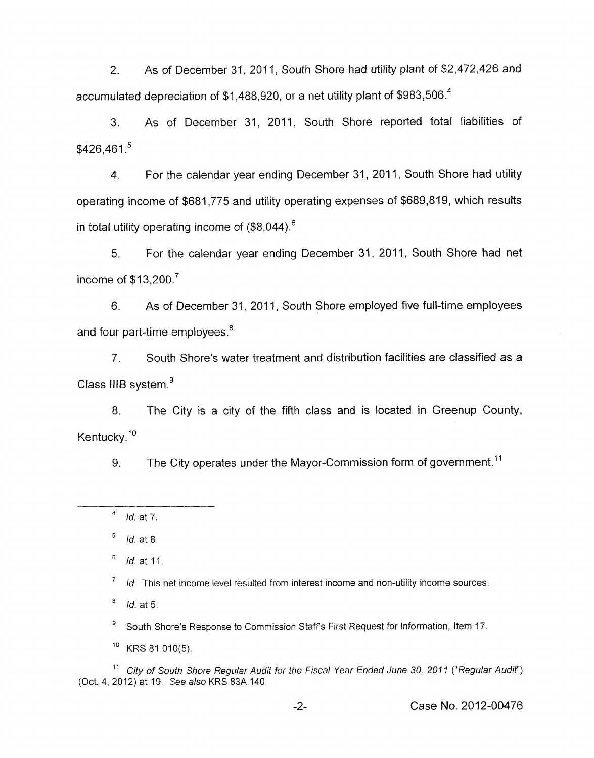2. As of December 31, 2011, South Shore had utility plant of \$2,472,426 and accumulated depreciation of \$1,488,920, or a net utility plant of \$983,506.4

3. As of December 31, 2011, South Shore reported total liabilities of  $$426.461<sup>5</sup>$ 

4. For the calendar year ending December 31, 2011, South Shore had utility operating income of \$681,775 and utility operating expenses of \$689,819, which results in total utility operating income of  $(\$8,044)$ .<sup>6</sup>

5. For the calendar year ending December 31, 2011, South Shore had net income of  $$13,200.<sup>7</sup>$ 

6. As of December 31, 2011, South Shore employed five full-time employees and four part-time employees.<sup>8</sup>

7. South Shore's water treatment and distribution facilities are classified as a Class IIIB system. $<sup>9</sup>$ </sup>

8. The City is a city of the fifth class and is located in Greenup County, Kentucky.<sup>10</sup>

9. The City operates under the Mayor-Commission form of government.<sup>11</sup>

*Id.* at 8 **5** 

*Id* at 11 *6* 

*Id.* This net income level resulted from interest income and non-utility income sources. 7

*Id.* at 5

South Shore's Response to Commission Staffs First Request *for* Information, Item 17. **<sup>9</sup>**

 $10$  KRS 81.010(5).

<sup>11</sup> City of South Shore Regular Audit for the Fiscal Year Ended June 30, 2011 ("Regular Audit") (Oct. 4,2012) at 19 *See also* KRS 83A 140

-2- Case No. 2012-00476

*Id.* at *7. 4*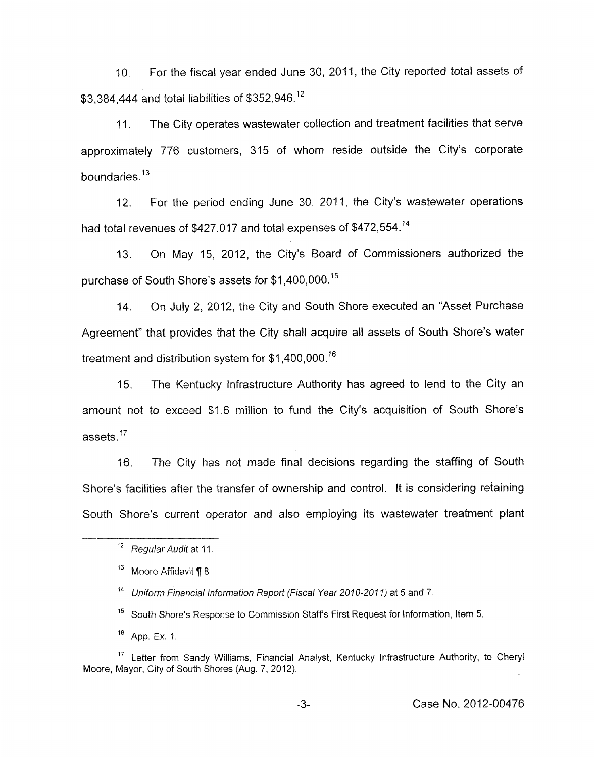10. For the fiscal year ended June 30, 2011, the City reported total assets of \$3,384,444 and total liabilities of \$352,946.<sup>12</sup>

11. The City operates wastewater collection and treatment facilities that serve approximately 776 customers, 315 of whom reside outside the City's corporate boundaries. $13$ 

12. For the period ending June 30, 2011, the City's wastewater operations had total revenues of \$427,017 and total expenses of \$472,554.14

13. On May 15, 2012, the City's Board of Commissioners authorized the purchase of South Shore's assets for \$1,400,000.<sup>15</sup>

14. On July 2, 2012, the City and South Shore executed an "Asset Purchase Agreement" that provides that the City shall acquire all assets of South Shore's water treatment and distribution system for \$1,400,000.<sup>16</sup>

15. The Kentucky Infrastructure Authority has agreed to lend to the City an amount not to exceed \$1.6 million to fund the City's acquisition of South Shore's assets. $17$ 

16. The City has not made final decisions regarding the staffing of South Shore's facilities after the transfer of ownership and control. It is considering retaining South Shore's current operator and also employing its wastewater treatment plant

-3- Case No. 2012-00476

<sup>&</sup>lt;sup>12</sup> Regular Audit at 11.

<sup>&</sup>lt;sup>13</sup> Moore Affidavit ¶ 8.

<sup>&</sup>lt;sup>14</sup> Uniform Financial Information Report *(Fiscal Year 2010-2011)* at 5 and 7.

<sup>&</sup>lt;sup>15</sup> South Shore's Response to Commission Staff's First Request for Information, Item 5.

App. Ex. 1. 16

Letter from Sandy Williams, Financial Analyst, Kentucky infrastructure Authority, to Cheryl 17 Moore, Mayor, City of South Shores (Aug. 7, 2012)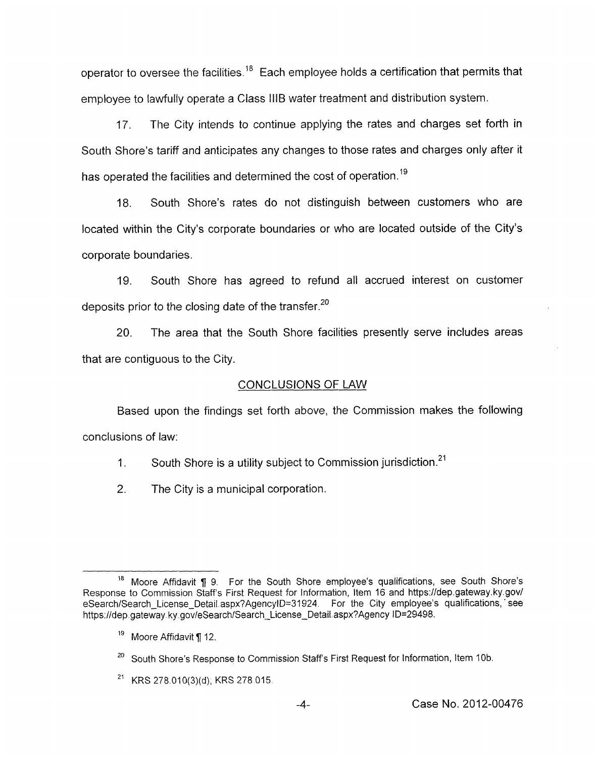operator to oversee the facilities.<sup>18</sup> Each employee holds a certification that permits that employee to lawfully operate a Class IllB water treatment and distribution system.

17. The City intends to continue applying the rates and charges set forth in South Shore's tariff and anticipates any changes to those rates and charges only after it has operated the facilities and determined the cost of operation.<sup>19</sup>

18. South Shore's rates do not distinguish between customers who are located within the City's corporate boundaries or who are located outside of the City's corporate boundaries.

19. South Shore has agreed to refund all accrued interest on customer deposits prior to the closing date of the transfer. $20$ 

20. The area that the South Shore facilities presently serve includes areas that are contiguous to the City.

## CONCLUSIONS OF LAW

Based upon the findings set forth above, the Commission makes the following conclusions of law:

1. South Shore is a utility subject to Commission jurisdiction.<sup>21</sup>

2. The City is a municipal corporation.

Moore Affidavit *fi* 9. For the South Shore employee's qualifications, see South Shore's **18**  Response to Commission Staffs First Request for Information, Item 16 and [https://dep.gateway.](https://dep.gateway) ky.gov/ eSearch/Search\_License\_Detail.aspx?AgencyID=31924. For the City employee's qualifications, see <https://dep> gateway ky.gov/eSearch/Search-License-Detail aspx?Agency **lD=29498.** 

 $^{19}$  Moore Affidavit ¶ 12.

South Shore's Response to Commission Staff's First Request for Information, Item 10b. *20* 

<sup>&</sup>lt;sup>21</sup> KRS 278.010(3)(d); KRS 278.015.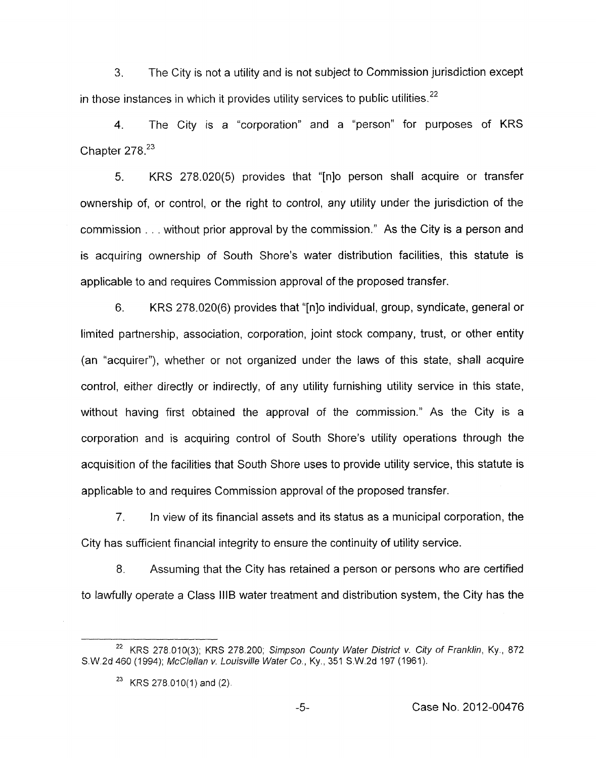**3.** The City is not a utility and is not subject to Commission jurisdiction except in those instances in which it provides utility services to public utilities.<sup>22</sup>

**4.** The City is a "corporation" and a "person" for purposes of KRS Chapter 278.<sup>23</sup>

5. KRS 278.020(5) provides that "[nlo person shall acquire or transfer ownership of, or control, or the right to control, any utility under the jurisdiction of the commission . . without prior approval by the commission." As the City is a person and is acquiring ownership of South Shore's water distribution facilities, this statute is applicable to and requires Commission approval of the proposed transfer.

6. KRS 278.020(6) provides that "[nlo individual, group, syndicate, general or limited partnership, association, corporation, joint stock company, trust, or other entity (an "acquirer"), whether or not organized under the laws of this state, shall acquire control, either directly or indirectly, of any utility furnishing utility service in this state, without having first obtained the approval of the commission.'' As the City is a corporation and is acquiring control of South Shore's utility operations through the acquisition of the facilities that South Shore uses to provide utility service, this statute is applicable to and requires Commission approval of the proposed transfer.

*7.* In view of its financial assets and its status as a municipal corporation, the City has sufficient financial integrity to ensure the continuity of utility service.

8. Assuming that the City has retained a person or persons who are certified to lawfully operate a Class IllB water treatment and distribution system, the City has the

<sup>&</sup>lt;sup>22</sup> KRS 278.010(3); KRS 278.200; *Simpson County Water District v. City of Franklin, Ky., 872* S.W.2d 460 (1994); *McClellan v, Louisville Wafer Co.,* Ky., 351 S.W.2d 197 (1961).

<sup>&</sup>lt;sup>23</sup> KRS 278.010(1) and (2).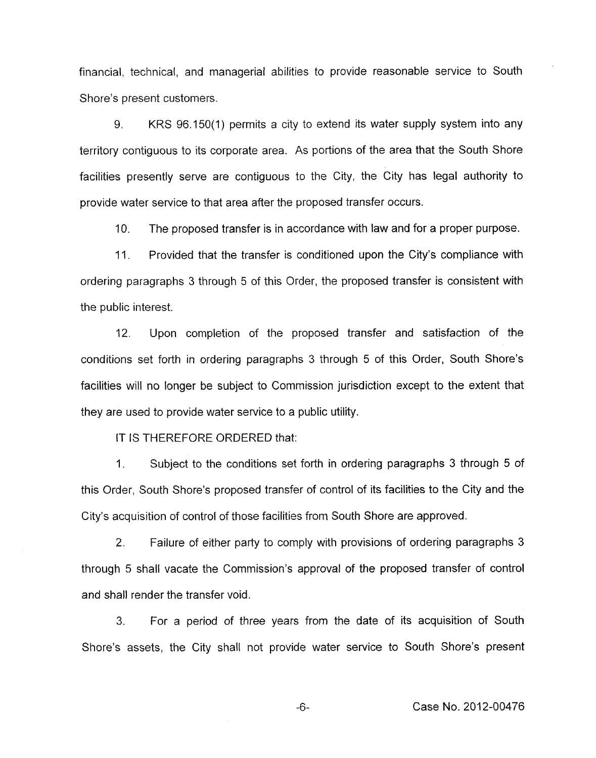financial, technical, and managerial abilities to provide reasonable service to South Shore's present customers.

9. KKS 96.150(1) permits a city to extend its water supply system into any territory contiguous to its corporate area. As portions of the area that the South Shore facilities presently serve are contiguous to the City, the City has legal authority to provide water service to that area after the proposed transfer occurs.

IO. The proposed transfer is in accordance with law and for a proper purpose.

11. Provided that the transfer is conditioned upon the City's compliance with ordering paragraphs 3 through 5 of this Order, the proposed transfer is consistent with the public interest.

12. Upon completion of the proposed transfer and satisfaction of the conditions set forth in ordering paragraphs 3 through 5 of this Order, South Shore's facilities will no longer be subject to Commission jurisdiction except to the extent that they are used to provide water service to a public utility.

IT IS THEREFORE ORDERED that:

1, Subject to the conditions set forth in ordering paragraphs 3 through 5 of this Order, South Shore's proposed transfer of control of its facilities to the City and the City's acquisition of control of those facilities from South Shore are approved.

2. Failure of either party to comply with provisions of ordering paragraphs 3 through *5* shall vacate the Commission's approval of the proposed transfer of control and shall render the transfer void.

**3.** For a period of three years from the date of its acquisition of South Shore's assets, the City shall not provide water service to South Shore's present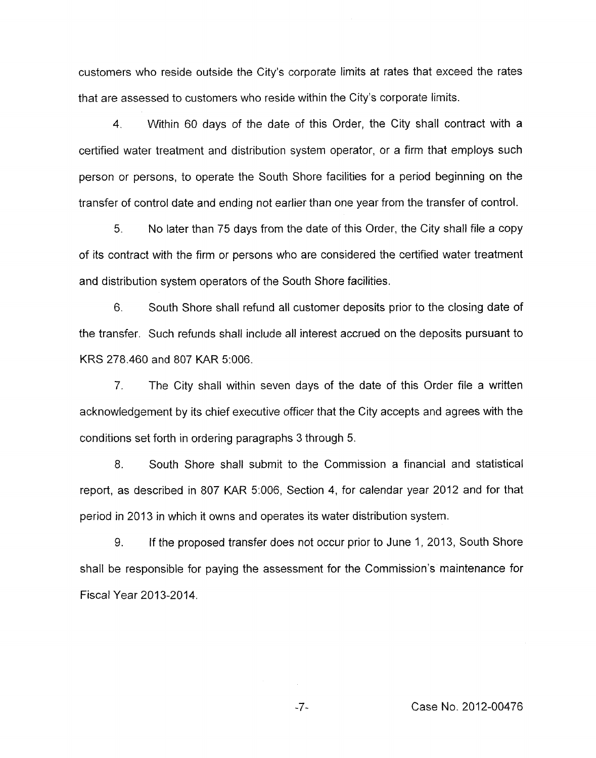customers who reside outside the City's corporate limits at rates that exceed the rates that are assessed to customers who reside within the City's corporate limits.

4. Within 60 days of the date of this Order, the City shall contract with a certified water treatment and distribution system operator, or a firm that employs such person or persons, to operate the South Shore facilities for a period beginning on the transfer of control date and ending not earlier than one year from the transfer of control.

*5.* No later than 75 days from the date of this Order, the City shall file a copy of its contract with the firm or persons who are considered the certified water treatment and distribution system operators of the South Shore facilities.

6. South Shore shall refund all customer deposits prior to the closing date of the transfer. Such refunds shall include all interest accrued on the deposits pursuant to KRS 278.460 and 807 KAR 5:006.

7. The City shall within seven days of the date of this Order file a written acknowledgement by its chief executive officer that the City accepts and agrees with the conditions set forth in ordering paragraphs 3 through 5.

8. South Shore shall submit to the Commission a financial and statistical report, as described in 807 KAR 5:006, Section **4,** for calendar year 2012 and for that period in 2013 in which it owns and operates its water distribution system.

9. If the proposed transfer does not occur prior to June 1, 2013, South Shore shall be responsible for paying the assessment for the Commission's maintenance for Fiscal Year 2013-2014.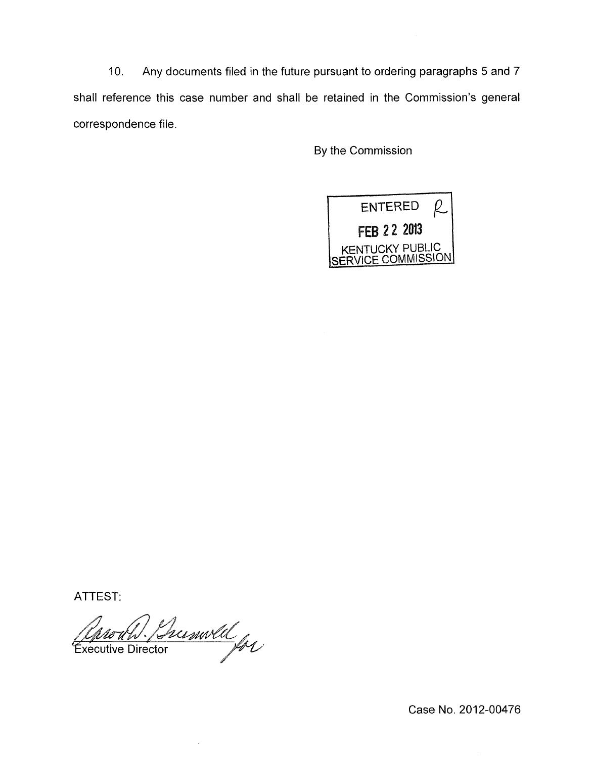10. Any documents filed in the future pursuant to ordering paragraphs 5 and 7 shall reference this case number and shall be retained in the Commission's general correspondence file.

By the Commission



ATTEST:

Bumvell<br>ctor for Executive Director

Case No. 2012-00476